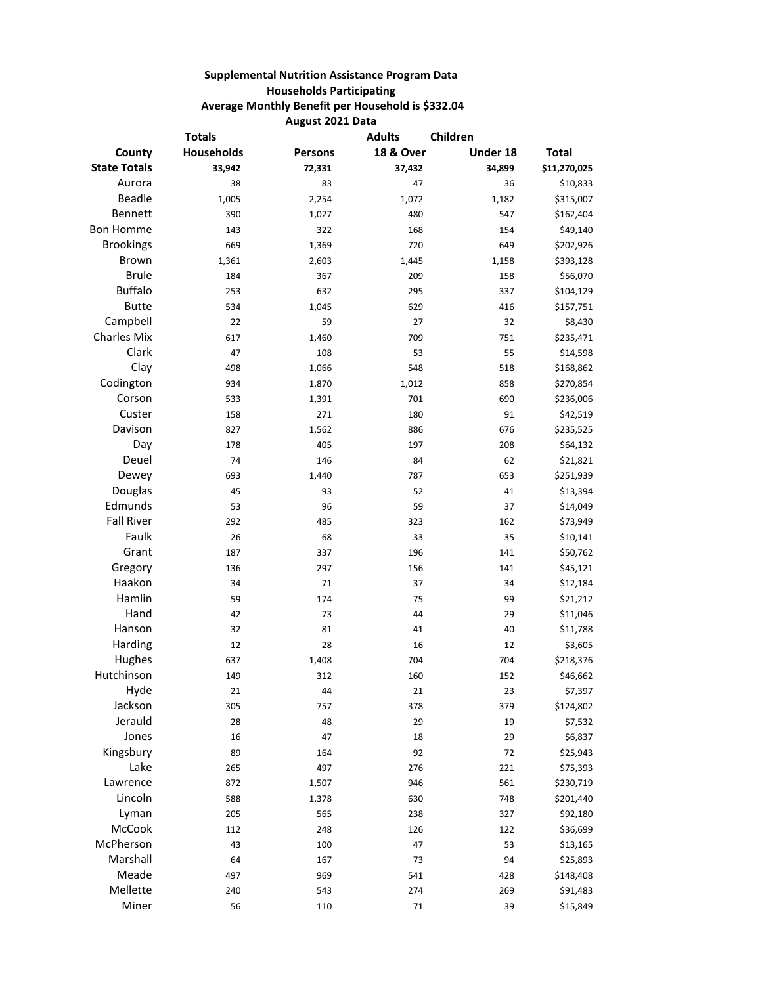## **Supplemental Nutrition Assistance Program Data Households Participating Average Monthly Benefit per Household is \$332.04 August 2021 Data**

| <b>Totals</b>       |                   |                | Children<br><b>Adults</b> |          |              |
|---------------------|-------------------|----------------|---------------------------|----------|--------------|
| County              | <b>Households</b> | <b>Persons</b> | <b>18 &amp; Over</b>      | Under 18 | <b>Total</b> |
| <b>State Totals</b> | 33,942            | 72,331         | 37,432                    | 34,899   | \$11,270,025 |
| Aurora              | 38                | 83             | 47                        | 36       | \$10,833     |
| <b>Beadle</b>       | 1,005             | 2,254          | 1,072                     | 1,182    | \$315,007    |
| Bennett             | 390               | 1,027          | 480                       | 547      | \$162,404    |
| <b>Bon Homme</b>    | 143               | 322            | 168                       | 154      | \$49,140     |
| <b>Brookings</b>    | 669               | 1,369          | 720                       | 649      | \$202,926    |
| Brown               | 1,361             | 2,603          | 1,445                     | 1,158    | \$393,128    |
| <b>Brule</b>        | 184               | 367            | 209                       | 158      | \$56,070     |
| <b>Buffalo</b>      | 253               | 632            | 295                       | 337      | \$104,129    |
| <b>Butte</b>        | 534               | 1,045          | 629                       | 416      | \$157,751    |
| Campbell            | 22                | 59             | 27                        | 32       | \$8,430      |
| <b>Charles Mix</b>  | 617               | 1,460          | 709                       | 751      | \$235,471    |
| Clark               | 47                | 108            | 53                        | 55       | \$14,598     |
| Clay                | 498               | 1,066          | 548                       | 518      | \$168,862    |
| Codington           | 934               | 1,870          | 1,012                     | 858      | \$270,854    |
| Corson              | 533               | 1,391          | 701                       | 690      | \$236,006    |
| Custer              | 158               | 271            | 180                       | 91       | \$42,519     |
| Davison             | 827               | 1,562          | 886                       | 676      | \$235,525    |
| Day                 | 178               | 405            | 197                       | 208      | \$64,132     |
| Deuel               | 74                | 146            | 84                        | 62       | \$21,821     |
| Dewey               | 693               | 1,440          | 787                       | 653      | \$251,939    |
| Douglas             | 45                | 93             | 52                        | 41       | \$13,394     |
| Edmunds             | 53                | 96             | 59                        | 37       | \$14,049     |
| <b>Fall River</b>   | 292               | 485            | 323                       | 162      | \$73,949     |
| Faulk               | 26                | 68             | 33                        | 35       | \$10,141     |
| Grant               | 187               | 337            | 196                       | 141      | \$50,762     |
| Gregory             | 136               | 297            | 156                       | 141      | \$45,121     |
| Haakon              | 34                | 71             | 37                        | 34       | \$12,184     |
| Hamlin              | 59                | 174            | 75                        | 99       | \$21,212     |
| Hand                | 42                | 73             | 44                        | 29       | \$11,046     |
| Hanson              | 32                | 81             | 41                        | 40       | \$11,788     |
| Harding             | 12                | 28             | 16                        | 12       | \$3,605      |
| Hughes              | 637               | 1,408          | 704                       | 704      | \$218,376    |
| Hutchinson          | 149               | 312            | 160                       | 152      | \$46,662     |
| Hyde                | 21                | 44             | 21                        | 23       | \$7,397      |
| Jackson             | 305               | 757            | 378                       | 379      | \$124,802    |
| Jerauld             | 28                | 48             | 29                        | 19       | \$7,532      |
| Jones               | 16                | 47             | 18                        | 29       | \$6,837      |
| Kingsbury           | 89                | 164            | 92                        | 72       | \$25,943     |
| Lake                | 265               | 497            | 276                       | 221      | \$75,393     |
| Lawrence            | 872               | 1,507          | 946                       | 561      | \$230,719    |
| Lincoln             | 588               | 1,378          | 630                       | 748      | \$201,440    |
| Lyman               | 205               | 565            | 238                       | 327      | \$92,180     |
| McCook              | 112               | 248            | 126                       | 122      | \$36,699     |
| McPherson           | 43                | 100            | 47                        | 53       | \$13,165     |
| Marshall            | 64                | 167            | 73                        | 94       | \$25,893     |
| Meade               | 497               | 969            | 541                       | 428      | \$148,408    |
| Mellette            | 240               | 543            | 274                       | 269      | \$91,483     |
| Miner               | 56                | 110            | 71                        | 39       | \$15,849     |